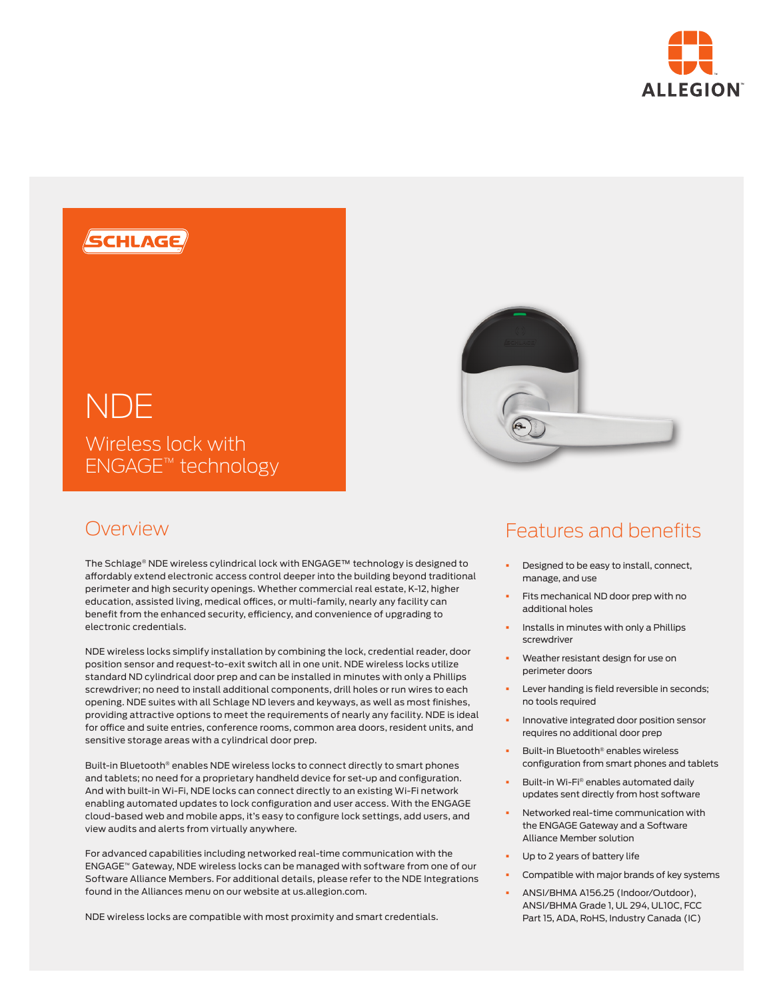



# Overview

The Schlage® NDE wireless cylindrical lock with ENGAGE™ technology is designed to affordably extend electronic access control deeper into the building beyond traditional perimeter and high security openings. Whether commercial real estate, K-12, higher education, assisted living, medical offices, or multi-family, nearly any facility can benefit from the enhanced security, efficiency, and convenience of upgrading to electronic credentials.

NDE wireless locks simplify installation by combining the lock, credential reader, door position sensor and request-to-exit switch all in one unit. NDE wireless locks utilize standard ND cylindrical door prep and can be installed in minutes with only a Phillips screwdriver; no need to install additional components, drill holes or run wires to each opening. NDE suites with all Schlage ND levers and keyways, as well as most finishes, providing attractive options to meet the requirements of nearly any facility. NDE is ideal for office and suite entries, conference rooms, common area doors, resident units, and sensitive storage areas with a cylindrical door prep.

Built-in Bluetooth® enables NDE wireless locks to connect directly to smart phones and tablets; no need for a proprietary handheld device for set-up and configuration. And with built-in Wi-Fi, NDE locks can connect directly to an existing Wi-Fi network enabling automated updates to lock configuration and user access. With the ENGAGE cloud-based web and mobile apps, it's easy to configure lock settings, add users, and view audits and alerts from virtually anywhere.

For advanced capabilities including networked real-time communication with the ENGAGE™ Gateway, NDE wireless locks can be managed with software from one of our Software Alliance Members. For additional details, please refer to the NDE Integrations found in the Alliances menu on our website at us.allegion.com.

NDE wireless locks are compatible with most proximity and smart credentials.

## Features and benefits

- Designed to be easy to install, connect, manage, and use
- Fits mechanical ND door prep with no additional holes
- § Installs in minutes with only a Phillips screwdriver
- Weather resistant design for use on perimeter doors
- Lever handing is field reversible in seconds; no tools required
- § Innovative integrated door position sensor requires no additional door prep
- § Built-in Bluetooth® enables wireless configuration from smart phones and tablets
- § Built-in Wi-Fi® enables automated daily updates sent directly from host software
- § Networked real-time communication with the ENGAGE Gateway and a Software Alliance Member solution
- Up to 2 years of battery life
- § Compatible with major brands of key systems
- § ANSI/BHMA A156.25 (Indoor/Outdoor), ANSI/BHMA Grade 1, UL 294, UL10C, FCC Part 15, ADA, RoHS, Industry Canada (IC)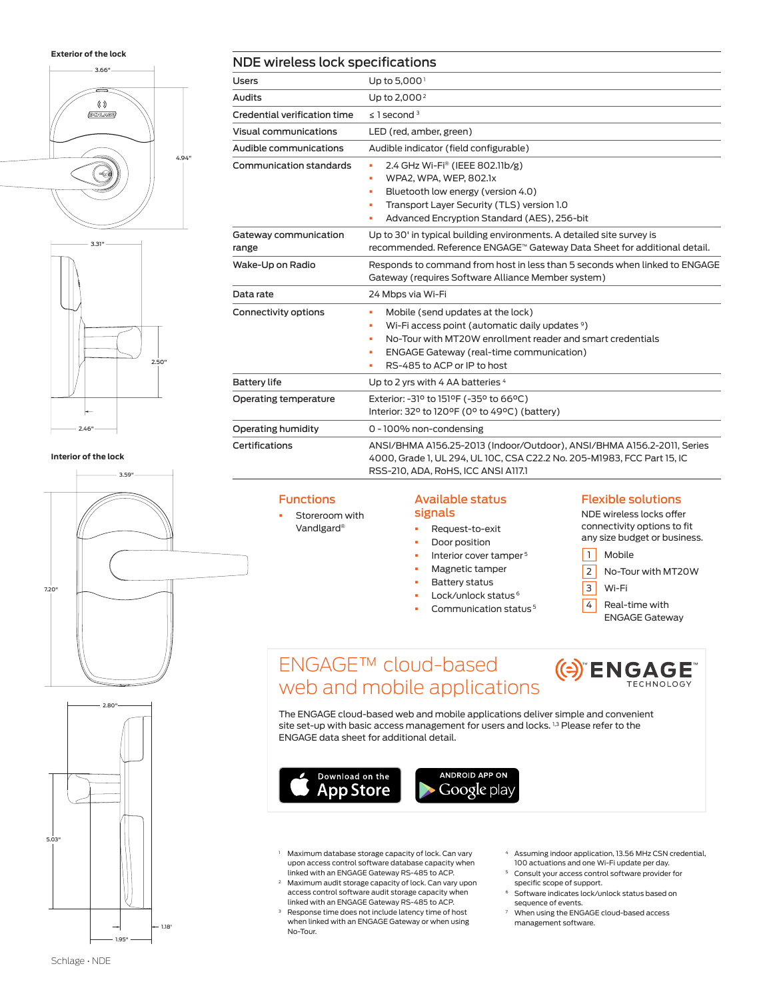**Exterior of the lock**





**Interior of the lock**



| 2.80"          |  |
|----------------|--|
|                |  |
|                |  |
| 5.03"          |  |
| 1.18'<br>1.95" |  |

| NDE wireless lock specifications |                                                                                                                                                                                                                                                                    |  |  |  |  |
|----------------------------------|--------------------------------------------------------------------------------------------------------------------------------------------------------------------------------------------------------------------------------------------------------------------|--|--|--|--|
| Users                            | Up to 5,000 <sup>1</sup>                                                                                                                                                                                                                                           |  |  |  |  |
| Audits                           | Up to $2.0002$                                                                                                                                                                                                                                                     |  |  |  |  |
| Credential verification time     | $\leq$ 1 second $3$                                                                                                                                                                                                                                                |  |  |  |  |
| Visual communications            | LED (red, amber, green)                                                                                                                                                                                                                                            |  |  |  |  |
| Audible communications           | Audible indicator (field configurable)                                                                                                                                                                                                                             |  |  |  |  |
| Communication standards          | 2.4 GHz Wi-Fi <sup>®</sup> (IEEE 802.11b/g)<br>٠<br>WPA2, WPA, WEP, 802.1x<br>٠<br>Bluetooth low energy (version 4.0)<br>×.<br>Transport Layer Security (TLS) version 1.0<br>٠<br>Advanced Encryption Standard (AES), 256-bit<br>٠                                 |  |  |  |  |
| Gateway communication<br>range   | Up to 30' in typical building environments. A detailed site survey is<br>recommended. Reference ENGAGE™ Gateway Data Sheet for additional detail.                                                                                                                  |  |  |  |  |
| Wake-Up on Radio                 | Responds to command from host in less than 5 seconds when linked to ENGAGE<br>Gateway (requires Software Alliance Member system)                                                                                                                                   |  |  |  |  |
| Data rate                        | 24 Mbps via Wi-Fi                                                                                                                                                                                                                                                  |  |  |  |  |
| Connectivity options             | Mobile (send updates at the lock)<br>٠<br>Wi-Fi access point (automatic daily updates <sup>9</sup> )<br>ú,<br>No-Tour with MT20W enrollment reader and smart credentials<br>٠<br>ENGAGE Gateway (real-time communication)<br>٠<br>RS-485 to ACP or IP to host<br>٠ |  |  |  |  |
| <b>Battery life</b>              | Up to 2 yrs with 4 AA batteries 4                                                                                                                                                                                                                                  |  |  |  |  |
| Operating temperature            | Exterior: -31º to 151ºF (-35° to 66°C)<br>Interior: 32° to 120°F (0° to 49°C) (battery)                                                                                                                                                                            |  |  |  |  |
| Operating humidity               | 0 - 100% non-condensing                                                                                                                                                                                                                                            |  |  |  |  |
| Certifications                   | ANSI/BHMA A156.25-2013 (Indoor/Outdoor), ANSI/BHMA A156.2-2011, Series<br>4000, Grade 1, UL 294, UL 10C, CSA C22.2 No. 205-M1983, FCC Part 15, IC<br>RSS-210, ADA, RoHS, ICC ANSI A117.1                                                                           |  |  |  |  |

### **Functions**

Storeroom with Vandlgard®

#### Available status signals

| Reauest-to-exit |
|-----------------|
| Door position   |

- **•** Interior cover tamper<sup>5</sup>
- § Magnetic tamper
- § Battery status
- § Lock/unlock status 6
- § Communication status 5

#### Flexible solutions

NDE wireless locks offer connectivity options to fit any size budget or business.

- 1 Mobile
- 2 No-Tour with MT20W
- 3 Wi-Fi
- $\boxed{4}$  Real-time with ENGAGE Gateway

**(e) ENGAGE** 

## ENGAGE™ cloud-based web and mobile applications

The ENGAGE cloud-based web and mobile applications deliver simple and convenient site set-up with basic access management for users and locks.<sup>1,3</sup> Please refer to the ENGAGE data sheet for additional detail.



- Maximum database storage capacity of lock. Can vary upon access control software database capacity when linked with an ENGAGE Gateway RS-485 to ACP.
- <sup>2</sup> Maximum audit storage capacity of lock. Can vary upon access control software audit storage capacity when linked with an ENGAGE Gateway RS-485 to ACP.
- Response time does not include latency time of host when linked with an ENGAGE Gateway or when using No-Tour.
- <sup>4</sup> Assuming indoor application, 13.56 MHz CSN credential, 100 actuations and one Wi-Fi update per day.
- <sup>5</sup> Consult your access control software provider for specific scope of support.
- <sup>6</sup> Software indicates lock/unlock status based on sequence of events.
- When using the ENGAGE cloud-based access management software.

Schlage • NDE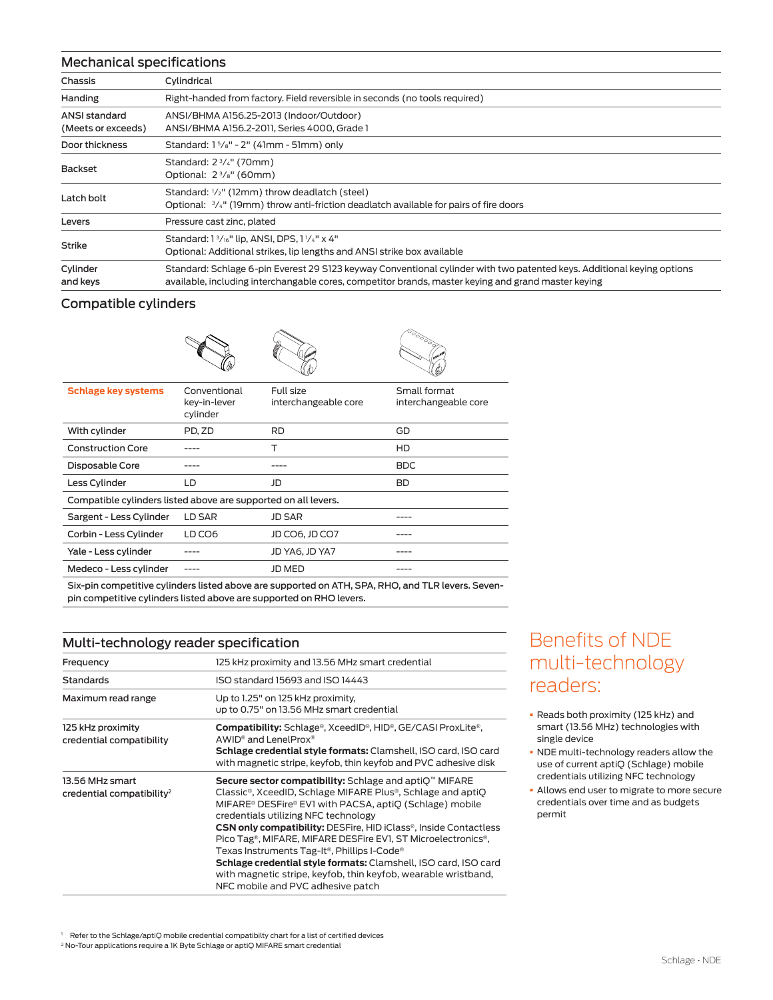#### Mechanical specifications

| <u>Mechanical specifications</u>    |                                                                                                                                                                                                                               |  |  |  |  |  |  |
|-------------------------------------|-------------------------------------------------------------------------------------------------------------------------------------------------------------------------------------------------------------------------------|--|--|--|--|--|--|
| Chassis                             | Cylindrical                                                                                                                                                                                                                   |  |  |  |  |  |  |
| Handing                             | Right-handed from factory. Field reversible in seconds (no tools required)                                                                                                                                                    |  |  |  |  |  |  |
| ANSI standard<br>(Meets or exceeds) | ANSI/BHMA A156.25-2013 (Indoor/Outdoor)<br>ANSI/BHMA A156.2-2011. Series 4000. Grade 1                                                                                                                                        |  |  |  |  |  |  |
| Door thickness                      | Standard: $1\frac{5}{8}$ " - 2" (41mm - 51mm) only                                                                                                                                                                            |  |  |  |  |  |  |
| Backset                             | Standard: 2 <sup>3</sup> / <sub>4</sub> " (70mm)<br>Optional: $2\frac{3}{8}$ " (60mm)                                                                                                                                         |  |  |  |  |  |  |
| Latch bolt                          | Standard: 1/2" (12mm) throw deadlatch (steel)<br>Optional: $\frac{3}{4}$ " (19mm) throw anti-friction deadlatch available for pairs of fire doors                                                                             |  |  |  |  |  |  |
| Levers                              | Pressure cast zinc, plated                                                                                                                                                                                                    |  |  |  |  |  |  |
| <b>Strike</b>                       | Standard: 1 <sup>3</sup> / <sub>16</sub> " lip, ANSI, DPS, 1 <sup>1</sup> / <sub>4</sub> " x 4"<br>Optional: Additional strikes, lip lengths and ANSI strike box available                                                    |  |  |  |  |  |  |
| Cylinder<br>and keys                | Standard: Schlage 6-pin Everest 29 S123 keyway Conventional cylinder with two patented keys. Additional keying options<br>available, including interchangable cores, competitor brands, master keying and grand master keying |  |  |  |  |  |  |

#### Compatible cylinders





|                                                                |                                          | WW                                | w                                    |  |  |  |  |
|----------------------------------------------------------------|------------------------------------------|-----------------------------------|--------------------------------------|--|--|--|--|
| <b>Schlage key systems</b>                                     | Conventional<br>key-in-lever<br>cylinder | Full size<br>interchangeable core | Small format<br>interchangeable core |  |  |  |  |
| With cylinder                                                  | PD. ZD                                   | <b>RD</b>                         | GD                                   |  |  |  |  |
| <b>Construction Core</b>                                       |                                          | т                                 | HD                                   |  |  |  |  |
| Disposable Core                                                |                                          |                                   | <b>BDC</b>                           |  |  |  |  |
| Less Cylinder<br>LD                                            |                                          | JD                                | <b>BD</b>                            |  |  |  |  |
| Compatible cylinders listed above are supported on all levers. |                                          |                                   |                                      |  |  |  |  |
| Sargent - Less Cylinder                                        | LD SAR                                   | <b>JD SAR</b>                     |                                      |  |  |  |  |
| Corbin - Less Cylinder                                         | LD CO6                                   | JD CO6, JD CO7                    |                                      |  |  |  |  |
| Yale - Less cylinder                                           |                                          | JD YA6, JD YA7                    |                                      |  |  |  |  |
| Medeco - Less cylinder                                         | ----                                     | JD MED                            |                                      |  |  |  |  |
|                                                                |                                          |                                   |                                      |  |  |  |  |

Six-pin competitive cylinders listed above are supported on ATH, SPA, RHO, and TLR levers. Sevenpin competitive cylinders listed above are supported on RHO levers.

#### Multi-technology reader specification

| Frequency                                                | 125 kHz proximity and 13.56 MHz smart credential                                                                                                                                                                                                                                                                                                                                                                                                                                                                                                                                                                                                                        |
|----------------------------------------------------------|-------------------------------------------------------------------------------------------------------------------------------------------------------------------------------------------------------------------------------------------------------------------------------------------------------------------------------------------------------------------------------------------------------------------------------------------------------------------------------------------------------------------------------------------------------------------------------------------------------------------------------------------------------------------------|
| <b>Standards</b>                                         | ISO standard 15693 and ISO 14443                                                                                                                                                                                                                                                                                                                                                                                                                                                                                                                                                                                                                                        |
| Maximum read range                                       | Up to 1.25" on 125 kHz proximity,<br>up to 0.75" on 13.56 MHz smart credential                                                                                                                                                                                                                                                                                                                                                                                                                                                                                                                                                                                          |
| 125 kHz proximity<br>credential compatibility            | <b>Compatibility:</b> Schlage®, XceedID®, HID®, GE/CASI ProxLite®,<br>AWID <sup>®</sup> and LenelProx <sup>®</sup><br>Schlage credential style formats: Clamshell, ISO card, ISO card<br>with magnetic stripe, keyfob, thin keyfob and PVC adhesive disk                                                                                                                                                                                                                                                                                                                                                                                                                |
| 13.56 MHz smart<br>credential compatibility <sup>2</sup> | Secure sector compatibility: Schlage and aptiQ™ MIFARE<br>Classic <sup>®</sup> , XceedID, Schlage MIFARE Plus®, Schlage and aptiQ<br>MIFARE <sup>®</sup> DESFire® EV1 with PACSA, aptiQ (Schlage) mobile<br>credentials utilizing NFC technology<br><b>CSN only compatibility:</b> DESFire, HID iClass®, Inside Contactless<br>Pico Tag <sup>®</sup> , MIFARE, MIFARE DESFire EV1, ST Microelectronics <sup>®</sup> ,<br>Texas Instruments Tag-It <sup>®</sup> , Phillips I-Code <sup>®</sup><br>Schlage credential style formats: Clamshell, ISO card, ISO card<br>with magnetic stripe, keyfob, thin keyfob, wearable wristband,<br>NFC mobile and PVC adhesive patch |

## Benefits of NDE multi-technology readers:

- § Reads both proximity (125 kHz) and smart (13.56 MHz) technologies with single device
- § NDE multi-technology readers allow the use of current aptiQ (Schlage) mobile credentials utilizing NFC technology
- § Allows end user to migrate to more secure credentials over time and as budgets permit

1 Refer to the Schlage/aptiQ mobile credential compatibilty chart for a list of certified devices

<sup>2</sup> No-Tour applications require a 1K Byte Schlage or aptiQ MIFARE smart credential